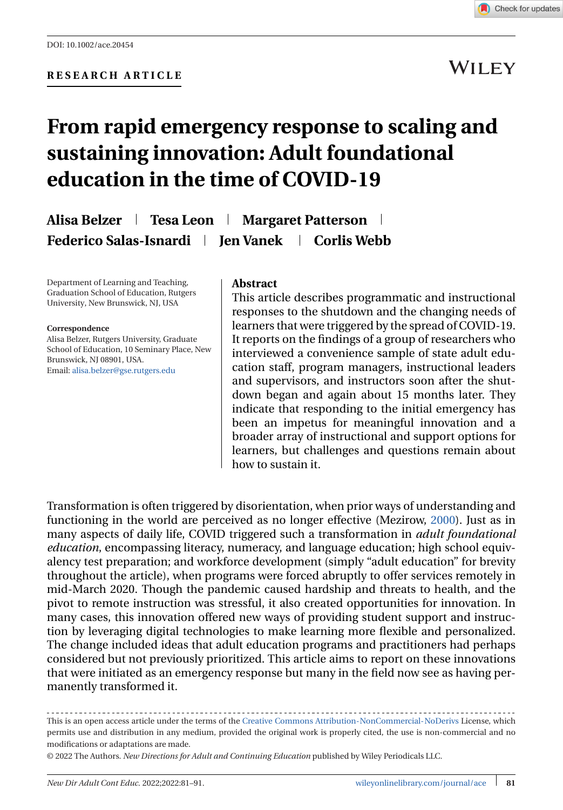**WILEY** 

# **From rapid emergency response to scaling and sustaining innovation: Adult foundational education in the time of COVID-19**

**Alisa Belzer Tesa Leon Margaret Patterson** Federico Salas-Isnardi | Ien Vanek | Corlis Webb

Department of Learning and Teaching, Graduation School of Education, Rutgers University, New Brunswick, NJ, USA

#### **Correspondence**

Alisa Belzer, Rutgers University, Graduate School of Education, 10 Seminary Place, New Brunswick, NJ 08901, USA. Email: [alisa.belzer@gse.rutgers.edu](mailto:alisa.belzer@gse.rutgers.edu)

#### **Abstract**

This article describes programmatic and instructional responses to the shutdown and the changing needs of learners that were triggered by the spread of COVID-19. It reports on the findings of a group of researchers who interviewed a convenience sample of state adult education staff, program managers, instructional leaders and supervisors, and instructors soon after the shutdown began and again about 15 months later. They indicate that responding to the initial emergency has been an impetus for meaningful innovation and a broader array of instructional and support options for learners, but challenges and questions remain about how to sustain it.

Transformation is often triggered by disorientation, when prior ways of understanding and functioning in the world are perceived as no longer effective (Mezirow, [2000\)](#page-8-0). Just as in many aspects of daily life, COVID triggered such a transformation in *adult foundational education*, encompassing literacy, numeracy, and language education; high school equivalency test preparation; and workforce development (simply "adult education" for brevity throughout the article), when programs were forced abruptly to offer services remotely in mid-March 2020. Though the pandemic caused hardship and threats to health, and the pivot to remote instruction was stressful, it also created opportunities for innovation. In many cases, this innovation offered new ways of providing student support and instruction by leveraging digital technologies to make learning more flexible and personalized. The change included ideas that adult education programs and practitioners had perhaps considered but not previously prioritized. This article aims to report on these innovations that were initiated as an emergency response but many in the field now see as having permanently transformed it.

This is an open access article under the terms of the [Creative Commons Attribution-NonCommercial-NoDerivs](http://creativecommons.org/licenses/by-nc-nd/4.0/) License, which permits use and distribution in any medium, provided the original work is properly cited, the use is non-commercial and no modifications or adaptations are made.

© 2022 The Authors. *New Directions for Adult and Continuing Education* published by Wiley Periodicals LLC.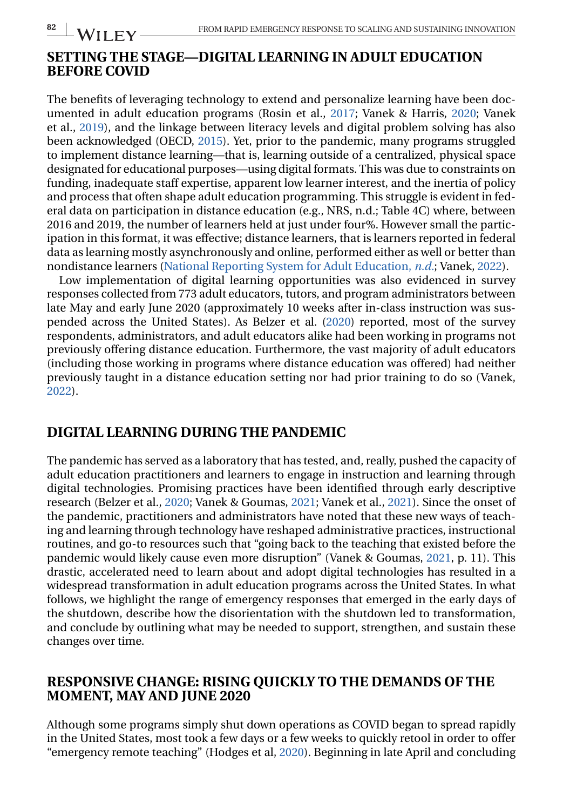## **SETTING THE STAGE—DIGITAL LEARNING IN ADULT EDUCATION BEFORE COVID**

The benefits of leveraging technology to extend and personalize learning have been documented in adult education programs (Rosin et al., [2017;](#page-9-0) Vanek & Harris, [2020;](#page-9-0) Vanek et al., [2019\)](#page-9-0), and the linkage between literacy levels and digital problem solving has also been acknowledged (OECD, [2015\)](#page-9-0). Yet, prior to the pandemic, many programs struggled to implement distance learning—that is, learning outside of a centralized, physical space designated for educational purposes—using digital formats. This was due to constraints on funding, inadequate staff expertise, apparent low learner interest, and the inertia of policy and process that often shape adult education programming. This struggle is evident in federal data on participation in distance education (e.g., NRS, n.d.; Table 4C) where, between 2016 and 2019, the number of learners held at just under four%. However small the participation in this format, it was effective; distance learners, that is learners reported in federal data as learning mostly asynchronously and online, performed either as well or better than nondistance learners [\(National Reporting System for Adult Education,](#page-8-0) *n.d.*; Vanek, [2022\)](#page-9-0).

Low implementation of digital learning opportunities was also evidenced in survey responses collected from 773 adult educators, tutors, and program administrators between late May and early June 2020 (approximately 10 weeks after in-class instruction was suspended across the United States). As Belzer et al. [\(2020\)](#page-8-0) reported, most of the survey respondents, administrators, and adult educators alike had been working in programs not previously offering distance education. Furthermore, the vast majority of adult educators (including those working in programs where distance education was offered) had neither previously taught in a distance education setting nor had prior training to do so (Vanek, [2022\)](#page-9-0).

## **DIGITAL LEARNING DURING THE PANDEMIC**

The pandemic has served as a laboratory that has tested, and, really, pushed the capacity of adult education practitioners and learners to engage in instruction and learning through digital technologies. Promising practices have been identified through early descriptive research (Belzer et al., [2020;](#page-8-0) Vanek & Goumas, [2021;](#page-9-0) Vanek et al., [2021\)](#page-9-0). Since the onset of the pandemic, practitioners and administrators have noted that these new ways of teaching and learning through technology have reshaped administrative practices, instructional routines, and go-to resources such that "going back to the teaching that existed before the pandemic would likely cause even more disruption" (Vanek & Goumas, [2021,](#page-9-0) p. 11). This drastic, accelerated need to learn about and adopt digital technologies has resulted in a widespread transformation in adult education programs across the United States. In what follows, we highlight the range of emergency responses that emerged in the early days of the shutdown, describe how the disorientation with the shutdown led to transformation, and conclude by outlining what may be needed to support, strengthen, and sustain these changes over time.

## **RESPONSIVE CHANGE: RISING QUICKLY TO THE DEMANDS OF THE MOMENT, MAY AND JUNE 2020**

Although some programs simply shut down operations as COVID began to spread rapidly in the United States, most took a few days or a few weeks to quickly retool in order to offer "emergency remote teaching" (Hodges et al, [2020\)](#page-8-0). Beginning in late April and concluding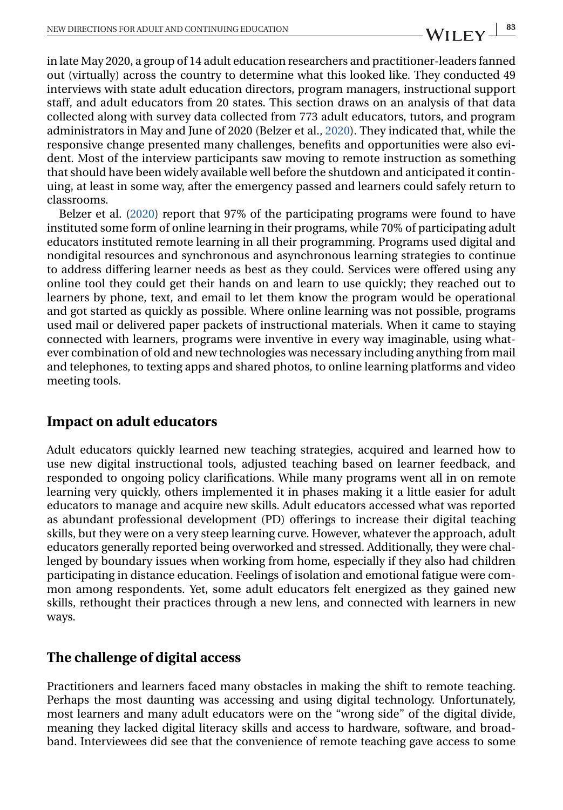in late May 2020, a group of 14 adult education researchers and practitioner-leaders fanned out (virtually) across the country to determine what this looked like. They conducted 49 interviews with state adult education directors, program managers, instructional support staff, and adult educators from 20 states. This section draws on an analysis of that data collected along with survey data collected from 773 adult educators, tutors, and program administrators in May and June of 2020 (Belzer et al., [2020\)](#page-8-0). They indicated that, while the responsive change presented many challenges, benefits and opportunities were also evident. Most of the interview participants saw moving to remote instruction as something that should have been widely available well before the shutdown and anticipated it continuing, at least in some way, after the emergency passed and learners could safely return to classrooms.

Belzer et al. [\(2020\)](#page-8-0) report that 97% of the participating programs were found to have instituted some form of online learning in their programs, while 70% of participating adult educators instituted remote learning in all their programming. Programs used digital and nondigital resources and synchronous and asynchronous learning strategies to continue to address differing learner needs as best as they could. Services were offered using any online tool they could get their hands on and learn to use quickly; they reached out to learners by phone, text, and email to let them know the program would be operational and got started as quickly as possible. Where online learning was not possible, programs used mail or delivered paper packets of instructional materials. When it came to staying connected with learners, programs were inventive in every way imaginable, using whatever combination of old and new technologies was necessary including anything from mail and telephones, to texting apps and shared photos, to online learning platforms and video meeting tools.

## **Impact on adult educators**

Adult educators quickly learned new teaching strategies, acquired and learned how to use new digital instructional tools, adjusted teaching based on learner feedback, and responded to ongoing policy clarifications. While many programs went all in on remote learning very quickly, others implemented it in phases making it a little easier for adult educators to manage and acquire new skills. Adult educators accessed what was reported as abundant professional development (PD) offerings to increase their digital teaching skills, but they were on a very steep learning curve. However, whatever the approach, adult educators generally reported being overworked and stressed. Additionally, they were challenged by boundary issues when working from home, especially if they also had children participating in distance education. Feelings of isolation and emotional fatigue were common among respondents. Yet, some adult educators felt energized as they gained new skills, rethought their practices through a new lens, and connected with learners in new ways.

## **The challenge of digital access**

Practitioners and learners faced many obstacles in making the shift to remote teaching. Perhaps the most daunting was accessing and using digital technology. Unfortunately, most learners and many adult educators were on the "wrong side" of the digital divide, meaning they lacked digital literacy skills and access to hardware, software, and broadband. Interviewees did see that the convenience of remote teaching gave access to some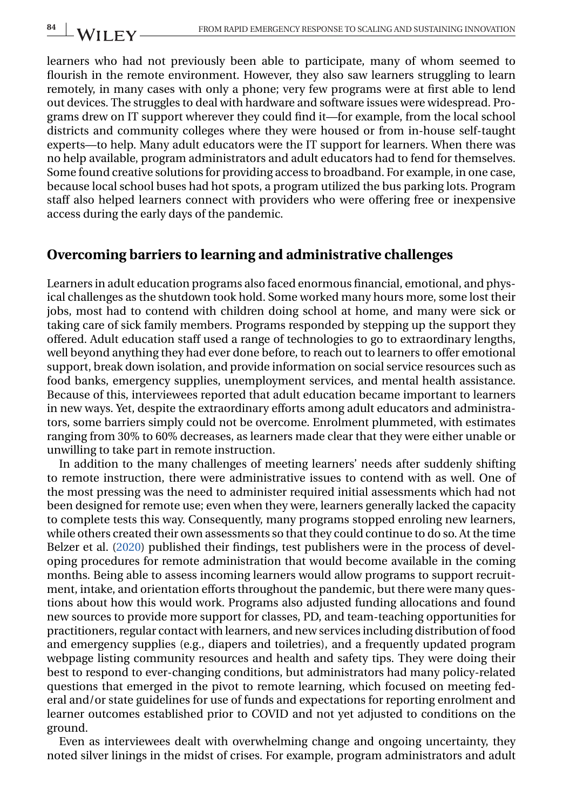learners who had not previously been able to participate, many of whom seemed to flourish in the remote environment. However, they also saw learners struggling to learn remotely, in many cases with only a phone; very few programs were at first able to lend out devices. The struggles to deal with hardware and software issues were widespread. Programs drew on IT support wherever they could find it—for example, from the local school districts and community colleges where they were housed or from in-house self-taught experts—to help. Many adult educators were the IT support for learners. When there was no help available, program administrators and adult educators had to fend for themselves. Some found creative solutions for providing access to broadband. For example, in one case, because local school buses had hot spots, a program utilized the bus parking lots. Program staff also helped learners connect with providers who were offering free or inexpensive access during the early days of the pandemic.

## **Overcoming barriers to learning and administrative challenges**

Learners in adult education programs also faced enormous financial, emotional, and physical challenges as the shutdown took hold. Some worked many hours more, some lost their jobs, most had to contend with children doing school at home, and many were sick or taking care of sick family members. Programs responded by stepping up the support they offered. Adult education staff used a range of technologies to go to extraordinary lengths, well beyond anything they had ever done before, to reach out to learners to offer emotional support, break down isolation, and provide information on social service resources such as food banks, emergency supplies, unemployment services, and mental health assistance. Because of this, interviewees reported that adult education became important to learners in new ways. Yet, despite the extraordinary efforts among adult educators and administrators, some barriers simply could not be overcome. Enrolment plummeted, with estimates ranging from 30% to 60% decreases, as learners made clear that they were either unable or unwilling to take part in remote instruction.

In addition to the many challenges of meeting learners' needs after suddenly shifting to remote instruction, there were administrative issues to contend with as well. One of the most pressing was the need to administer required initial assessments which had not been designed for remote use; even when they were, learners generally lacked the capacity to complete tests this way. Consequently, many programs stopped enroling new learners, while others created their own assessments so that they could continue to do so. At the time Belzer et al. [\(2020\)](#page-8-0) published their findings, test publishers were in the process of developing procedures for remote administration that would become available in the coming months. Being able to assess incoming learners would allow programs to support recruitment, intake, and orientation efforts throughout the pandemic, but there were many questions about how this would work. Programs also adjusted funding allocations and found new sources to provide more support for classes, PD, and team-teaching opportunities for practitioners, regular contact with learners, and new services including distribution of food and emergency supplies (e.g., diapers and toiletries), and a frequently updated program webpage listing community resources and health and safety tips. They were doing their best to respond to ever-changing conditions, but administrators had many policy-related questions that emerged in the pivot to remote learning, which focused on meeting federal and/or state guidelines for use of funds and expectations for reporting enrolment and learner outcomes established prior to COVID and not yet adjusted to conditions on the ground.

Even as interviewees dealt with overwhelming change and ongoing uncertainty, they noted silver linings in the midst of crises. For example, program administrators and adult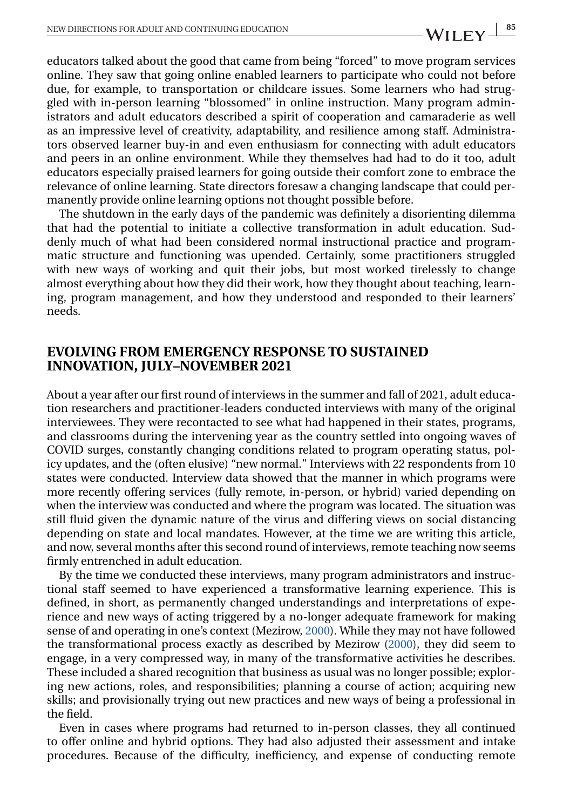educators talked about the good that came from being "forced" to move program services online. They saw that going online enabled learners to participate who could not before due, for example, to transportation or childcare issues. Some learners who had struggled with in-person learning "blossomed" in online instruction. Many program administrators and adult educators described a spirit of cooperation and camaraderie as well as an impressive level of creativity, adaptability, and resilience among staff. Administrators observed learner buy-in and even enthusiasm for connecting with adult educators and peers in an online environment. While they themselves had had to do it too, adult educators especially praised learners for going outside their comfort zone to embrace the relevance of online learning. State directors foresaw a changing landscape that could permanently provide online learning options not thought possible before.

The shutdown in the early days of the pandemic was definitely a disorienting dilemma that had the potential to initiate a collective transformation in adult education. Suddenly much of what had been considered normal instructional practice and programmatic structure and functioning was upended. Certainly, some practitioners struggled with new ways of working and quit their jobs, but most worked tirelessly to change almost everything about how they did their work, how they thought about teaching, learning, program management, and how they understood and responded to their learners' needs.

#### **EVOLVING FROM EMERGENCY RESPONSE TO SUSTAINED INNOVATION, JULY–NOVEMBER 2021**

About a year after our first round of interviews in the summer and fall of 2021, adult education researchers and practitioner-leaders conducted interviews with many of the original interviewees. They were recontacted to see what had happened in their states, programs, and classrooms during the intervening year as the country settled into ongoing waves of COVID surges, constantly changing conditions related to program operating status, policy updates, and the (often elusive) "new normal." Interviews with 22 respondents from 10 states were conducted. Interview data showed that the manner in which programs were more recently offering services (fully remote, in-person, or hybrid) varied depending on when the interview was conducted and where the program was located. The situation was still fluid given the dynamic nature of the virus and differing views on social distancing depending on state and local mandates. However, at the time we are writing this article, and now, several months after this second round of interviews, remote teaching now seems firmly entrenched in adult education.

By the time we conducted these interviews, many program administrators and instructional staff seemed to have experienced a transformative learning experience. This is defined, in short, as permanently changed understandings and interpretations of experience and new ways of acting triggered by a no-longer adequate framework for making sense of and operating in one's context (Mezirow, [2000\)](#page-8-0). While they may not have followed the transformational process exactly as described by Mezirow [\(2000\)](#page-8-0), they did seem to engage, in a very compressed way, in many of the transformative activities he describes. These included a shared recognition that business as usual was no longer possible; exploring new actions, roles, and responsibilities; planning a course of action; acquiring new skills; and provisionally trying out new practices and new ways of being a professional in the field.

Even in cases where programs had returned to in-person classes, they all continued to offer online and hybrid options. They had also adjusted their assessment and intake procedures. Because of the difficulty, inefficiency, and expense of conducting remote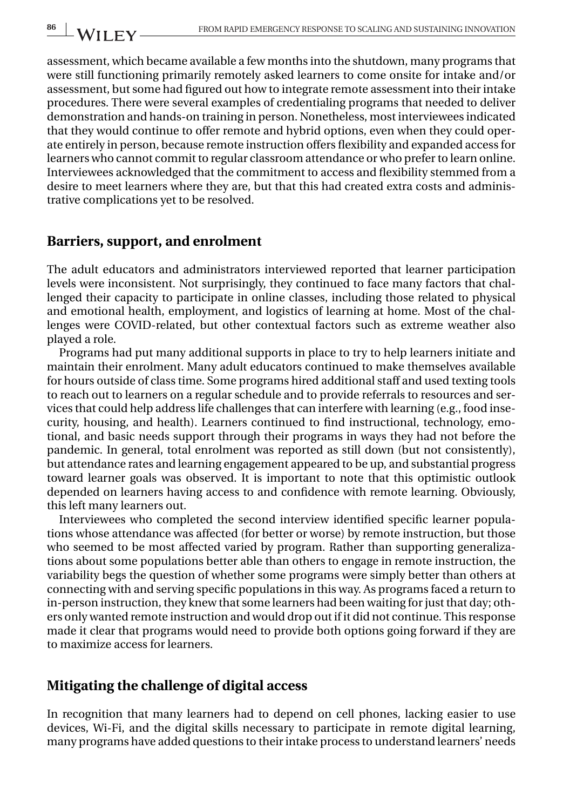assessment, which became available a few months into the shutdown, many programs that were still functioning primarily remotely asked learners to come onsite for intake and/or assessment, but some had figured out how to integrate remote assessment into their intake procedures. There were several examples of credentialing programs that needed to deliver demonstration and hands-on training in person. Nonetheless, most interviewees indicated that they would continue to offer remote and hybrid options, even when they could operate entirely in person, because remote instruction offers flexibility and expanded access for learners who cannot commit to regular classroom attendance or who prefer to learn online. Interviewees acknowledged that the commitment to access and flexibility stemmed from a desire to meet learners where they are, but that this had created extra costs and administrative complications yet to be resolved.

### **Barriers, support, and enrolment**

The adult educators and administrators interviewed reported that learner participation levels were inconsistent. Not surprisingly, they continued to face many factors that challenged their capacity to participate in online classes, including those related to physical and emotional health, employment, and logistics of learning at home. Most of the challenges were COVID-related, but other contextual factors such as extreme weather also played a role.

Programs had put many additional supports in place to try to help learners initiate and maintain their enrolment. Many adult educators continued to make themselves available for hours outside of class time. Some programs hired additional staff and used texting tools to reach out to learners on a regular schedule and to provide referrals to resources and services that could help address life challenges that can interfere with learning (e.g., food insecurity, housing, and health). Learners continued to find instructional, technology, emotional, and basic needs support through their programs in ways they had not before the pandemic. In general, total enrolment was reported as still down (but not consistently), but attendance rates and learning engagement appeared to be up, and substantial progress toward learner goals was observed. It is important to note that this optimistic outlook depended on learners having access to and confidence with remote learning. Obviously, this left many learners out.

Interviewees who completed the second interview identified specific learner populations whose attendance was affected (for better or worse) by remote instruction, but those who seemed to be most affected varied by program. Rather than supporting generalizations about some populations better able than others to engage in remote instruction, the variability begs the question of whether some programs were simply better than others at connecting with and serving specific populations in this way. As programs faced a return to in-person instruction, they knew that some learners had been waiting for just that day; others only wanted remote instruction and would drop out if it did not continue. This response made it clear that programs would need to provide both options going forward if they are to maximize access for learners.

## **Mitigating the challenge of digital access**

In recognition that many learners had to depend on cell phones, lacking easier to use devices, Wi-Fi, and the digital skills necessary to participate in remote digital learning, many programs have added questions to their intake process to understand learners' needs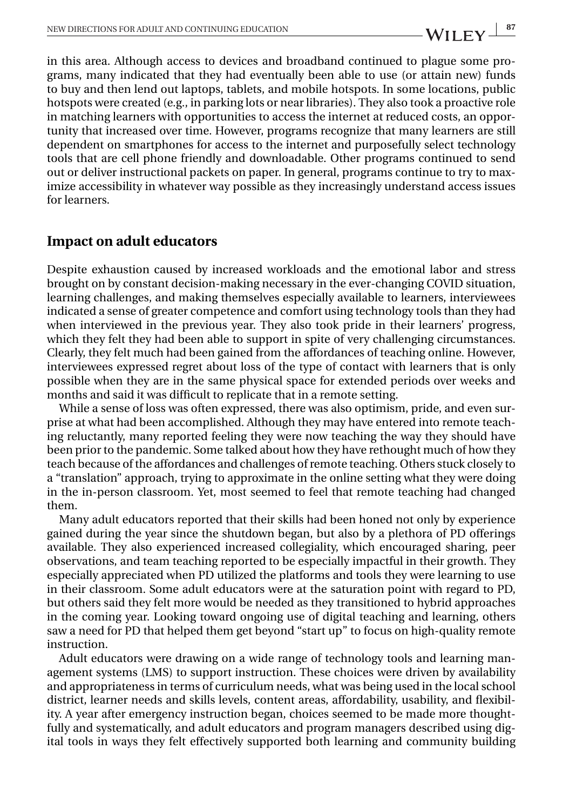in this area. Although access to devices and broadband continued to plague some programs, many indicated that they had eventually been able to use (or attain new) funds to buy and then lend out laptops, tablets, and mobile hotspots. In some locations, public hotspots were created (e.g., in parking lots or near libraries). They also took a proactive role in matching learners with opportunities to access the internet at reduced costs, an opportunity that increased over time. However, programs recognize that many learners are still dependent on smartphones for access to the internet and purposefully select technology tools that are cell phone friendly and downloadable. Other programs continued to send out or deliver instructional packets on paper. In general, programs continue to try to maximize accessibility in whatever way possible as they increasingly understand access issues for learners.

## **Impact on adult educators**

Despite exhaustion caused by increased workloads and the emotional labor and stress brought on by constant decision-making necessary in the ever-changing COVID situation, learning challenges, and making themselves especially available to learners, interviewees indicated a sense of greater competence and comfort using technology tools than they had when interviewed in the previous year. They also took pride in their learners' progress, which they felt they had been able to support in spite of very challenging circumstances. Clearly, they felt much had been gained from the affordances of teaching online. However, interviewees expressed regret about loss of the type of contact with learners that is only possible when they are in the same physical space for extended periods over weeks and months and said it was difficult to replicate that in a remote setting.

While a sense of loss was often expressed, there was also optimism, pride, and even surprise at what had been accomplished. Although they may have entered into remote teaching reluctantly, many reported feeling they were now teaching the way they should have been prior to the pandemic. Some talked about how they have rethought much of how they teach because of the affordances and challenges of remote teaching. Others stuck closely to a "translation" approach, trying to approximate in the online setting what they were doing in the in-person classroom. Yet, most seemed to feel that remote teaching had changed them.

Many adult educators reported that their skills had been honed not only by experience gained during the year since the shutdown began, but also by a plethora of PD offerings available. They also experienced increased collegiality, which encouraged sharing, peer observations, and team teaching reported to be especially impactful in their growth. They especially appreciated when PD utilized the platforms and tools they were learning to use in their classroom. Some adult educators were at the saturation point with regard to PD, but others said they felt more would be needed as they transitioned to hybrid approaches in the coming year. Looking toward ongoing use of digital teaching and learning, others saw a need for PD that helped them get beyond "start up" to focus on high-quality remote instruction.

Adult educators were drawing on a wide range of technology tools and learning management systems (LMS) to support instruction. These choices were driven by availability and appropriateness in terms of curriculum needs, what was being used in the local school district, learner needs and skills levels, content areas, affordability, usability, and flexibility. A year after emergency instruction began, choices seemed to be made more thoughtfully and systematically, and adult educators and program managers described using digital tools in ways they felt effectively supported both learning and community building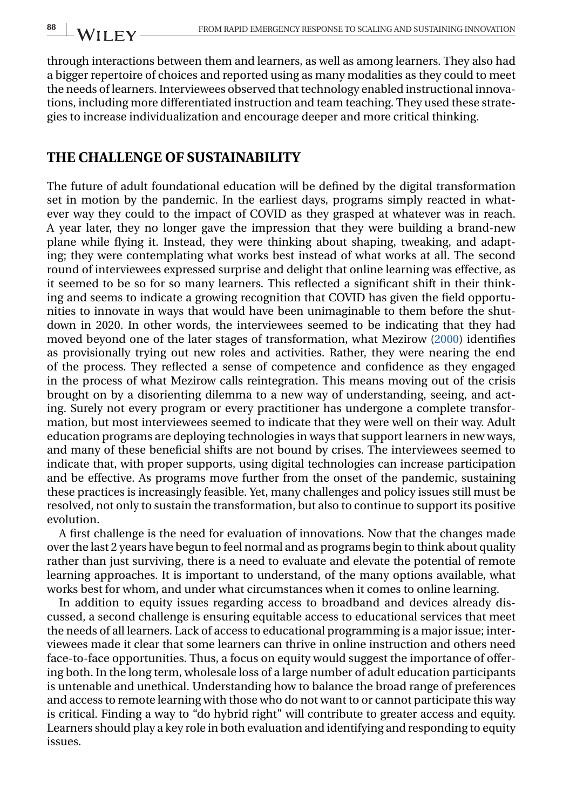through interactions between them and learners, as well as among learners. They also had a bigger repertoire of choices and reported using as many modalities as they could to meet the needs of learners. Interviewees observed that technology enabled instructional innovations, including more differentiated instruction and team teaching. They used these strategies to increase individualization and encourage deeper and more critical thinking.

## **THE CHALLENGE OF SUSTAINABILITY**

The future of adult foundational education will be defined by the digital transformation set in motion by the pandemic. In the earliest days, programs simply reacted in whatever way they could to the impact of COVID as they grasped at whatever was in reach. A year later, they no longer gave the impression that they were building a brand-new plane while flying it. Instead, they were thinking about shaping, tweaking, and adapting; they were contemplating what works best instead of what works at all. The second round of interviewees expressed surprise and delight that online learning was effective, as it seemed to be so for so many learners. This reflected a significant shift in their thinking and seems to indicate a growing recognition that COVID has given the field opportunities to innovate in ways that would have been unimaginable to them before the shutdown in 2020. In other words, the interviewees seemed to be indicating that they had moved beyond one of the later stages of transformation, what Mezirow [\(2000\)](#page-8-0) identifies as provisionally trying out new roles and activities. Rather, they were nearing the end of the process. They reflected a sense of competence and confidence as they engaged in the process of what Mezirow calls reintegration. This means moving out of the crisis brought on by a disorienting dilemma to a new way of understanding, seeing, and acting. Surely not every program or every practitioner has undergone a complete transformation, but most interviewees seemed to indicate that they were well on their way. Adult education programs are deploying technologies in ways that support learners in new ways, and many of these beneficial shifts are not bound by crises. The interviewees seemed to indicate that, with proper supports, using digital technologies can increase participation and be effective. As programs move further from the onset of the pandemic, sustaining these practices is increasingly feasible. Yet, many challenges and policy issues still must be resolved, not only to sustain the transformation, but also to continue to support its positive evolution.

A first challenge is the need for evaluation of innovations. Now that the changes made over the last 2 years have begun to feel normal and as programs begin to think about quality rather than just surviving, there is a need to evaluate and elevate the potential of remote learning approaches. It is important to understand, of the many options available, what works best for whom, and under what circumstances when it comes to online learning.

In addition to equity issues regarding access to broadband and devices already discussed, a second challenge is ensuring equitable access to educational services that meet the needs of all learners. Lack of access to educational programming is a major issue; interviewees made it clear that some learners can thrive in online instruction and others need face-to-face opportunities. Thus, a focus on equity would suggest the importance of offering both. In the long term, wholesale loss of a large number of adult education participants is untenable and unethical. Understanding how to balance the broad range of preferences and access to remote learning with those who do not want to or cannot participate this way is critical. Finding a way to "do hybrid right" will contribute to greater access and equity. Learners should play a key role in both evaluation and identifying and responding to equity issues.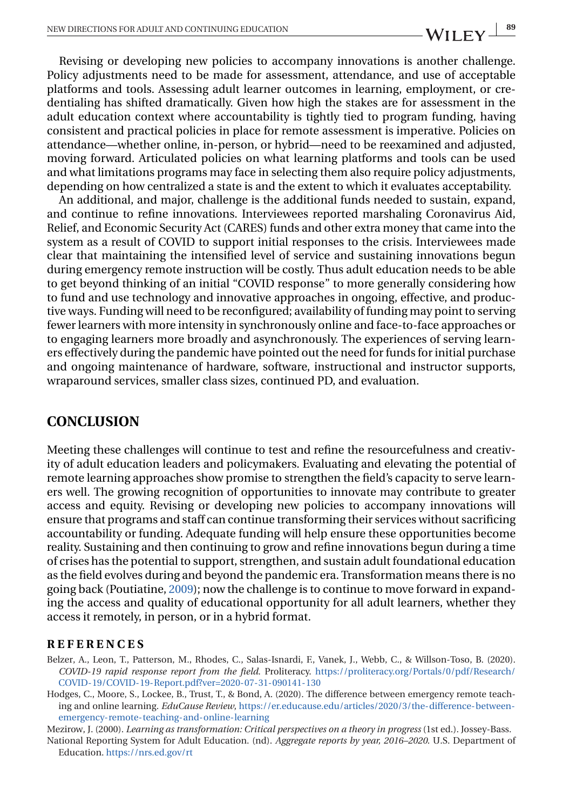<span id="page-8-0"></span>Revising or developing new policies to accompany innovations is another challenge. Policy adjustments need to be made for assessment, attendance, and use of acceptable platforms and tools. Assessing adult learner outcomes in learning, employment, or credentialing has shifted dramatically. Given how high the stakes are for assessment in the adult education context where accountability is tightly tied to program funding, having consistent and practical policies in place for remote assessment is imperative. Policies on attendance—whether online, in-person, or hybrid—need to be reexamined and adjusted, moving forward. Articulated policies on what learning platforms and tools can be used and what limitations programs may face in selecting them also require policy adjustments, depending on how centralized a state is and the extent to which it evaluates acceptability.

An additional, and major, challenge is the additional funds needed to sustain, expand, and continue to refine innovations. Interviewees reported marshaling Coronavirus Aid, Relief, and Economic Security Act (CARES) funds and other extra money that came into the system as a result of COVID to support initial responses to the crisis. Interviewees made clear that maintaining the intensified level of service and sustaining innovations begun during emergency remote instruction will be costly. Thus adult education needs to be able to get beyond thinking of an initial "COVID response" to more generally considering how to fund and use technology and innovative approaches in ongoing, effective, and productive ways. Funding will need to be reconfigured; availability of funding may point to serving fewer learners with more intensity in synchronously online and face-to-face approaches or to engaging learners more broadly and asynchronously. The experiences of serving learners effectively during the pandemic have pointed out the need for funds for initial purchase and ongoing maintenance of hardware, software, instructional and instructor supports, wraparound services, smaller class sizes, continued PD, and evaluation.

## **CONCLUSION**

Meeting these challenges will continue to test and refine the resourcefulness and creativity of adult education leaders and policymakers. Evaluating and elevating the potential of remote learning approaches show promise to strengthen the field's capacity to serve learners well. The growing recognition of opportunities to innovate may contribute to greater access and equity. Revising or developing new policies to accompany innovations will ensure that programs and staff can continue transforming their services without sacrificing accountability or funding. Adequate funding will help ensure these opportunities become reality. Sustaining and then continuing to grow and refine innovations begun during a time of crises has the potential to support, strengthen, and sustain adult foundational education as the field evolves during and beyond the pandemic era. Transformation means there is no going back (Poutiatine, [2009\)](#page-9-0); now the challenge is to continue to move forward in expanding the access and quality of educational opportunity for all adult learners, whether they access it remotely, in person, or in a hybrid format.

#### **REFERENCES**

- Belzer, A., Leon, T., Patterson, M., Rhodes, C., Salas-Isnardi, F., Vanek, J., Webb, C., & Willson-Toso, B. (2020). *COVID-19 rapid response report from the field*. Proliteracy. [https://proliteracy.org/Portals/0/pdf/Research/](https://proliteracy.org/Portals/0/pdf/Research/COVID-19/COVID-19-Report.pdf?ver=2020-07-31-090141-130) [COVID-19/COVID-19-Report.pdf?ver=2020-07-31-090141-130](https://proliteracy.org/Portals/0/pdf/Research/COVID-19/COVID-19-Report.pdf?ver=2020-07-31-090141-130)
- Hodges, C., Moore, S., Lockee, B., Trust, T., & Bond, A. (2020). The difference between emergency remote teaching and online learning. *EduCause Review*, [https://er.educause.edu/articles/2020/3/the-difference-between](https://er.educause.edu/articles/2020/3/the-difference-between-emergency-remote-teaching-and-online-learning)[emergency-remote-teaching-and-online-learning](https://er.educause.edu/articles/2020/3/the-difference-between-emergency-remote-teaching-and-online-learning)

Mezirow, J. (2000). *Learning as transformation: Critical perspectives on a theory in progress* (1st ed.). Jossey-Bass.

National Reporting System for Adult Education. (nd). *Aggregate reports by year, 2016–2020*. U.S. Department of Education. <https://nrs.ed.gov/rt>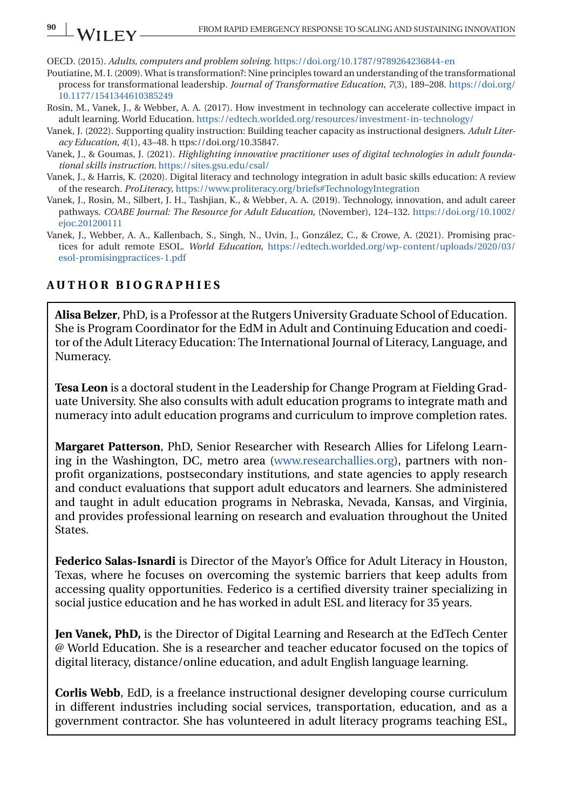<span id="page-9-0"></span>OECD. (2015). *Adults, computers and problem solving*. <https://doi.org/10.1787/9789264236844-en>

- Poutiatine, M. I. (2009). What is transformation?: Nine principles toward an understanding of the transformational process for transformational leadership. *Journal of Transformative Education*, *7*(3), 189–208. [https://doi.org/](https://doi.org/10.1177/1541344610385249) [10.1177/1541344610385249](https://doi.org/10.1177/1541344610385249)
- Rosin, M., Vanek, J., & Webber, A. A. (2017). How investment in technology can accelerate collective impact in adult learning. World Education. <https://edtech.worlded.org/resources/investment-in-technology/>
- Vanek, J. (2022). Supporting quality instruction: Building teacher capacity as instructional designers. *Adult Literacy Education*, *4*(1), 43–48. h ttps://doi.org/10.35847.
- Vanek, J., & Goumas, J. (2021). *Highlighting innovative practitioner uses of digital technologies in adult foundational skills instruction*. <https://sites.gsu.edu/csal/>
- Vanek, J., & Harris, K. (2020). Digital literacy and technology integration in adult basic skills education: A review of the research. *ProLiteracy*, <https://www.proliteracy.org/briefs#TechnologyIntegration>
- Vanek, J., Rosin, M., Silbert, J. H., Tashjian, K., & Webber, A. A. (2019). Technology, innovation, and adult career pathways. *COABE Journal: The Resource for Adult Education*, (November), 124–132. [https://doi.org/10.1002/](https://doi.org/10.1002/ejoc.201200111) [ejoc.201200111](https://doi.org/10.1002/ejoc.201200111)
- Vanek, J., Webber, A. A., Kallenbach, S., Singh, N., Uvin, J., González, C., & Crowe, A. (2021). Promising practices for adult remote ESOL. *World Education*, [https://edtech.worlded.org/wp-content/uploads/2020/03/](https://edtech.worlded.org/wp-content/uploads/2020/03/esol-promisingpractices-1.pdf) [esol-promisingpractices-1.pdf](https://edtech.worlded.org/wp-content/uploads/2020/03/esol-promisingpractices-1.pdf)

#### **AUTHOR BIOGRAPHIES**

**Alisa Belzer**, PhD, is a Professor at the Rutgers University Graduate School of Education. She is Program Coordinator for the EdM in Adult and Continuing Education and coeditor of the Adult Literacy Education: The International Journal of Literacy, Language, and Numeracy.

**Tesa Leon** is a doctoral student in the Leadership for Change Program at Fielding Graduate University. She also consults with adult education programs to integrate math and numeracy into adult education programs and curriculum to improve completion rates.

**Margaret Patterson**, PhD, Senior Researcher with Research Allies for Lifelong Learning in the Washington, DC, metro area [\(www.researchallies.org\)](http://www.researchallies.org), partners with nonprofit organizations, postsecondary institutions, and state agencies to apply research and conduct evaluations that support adult educators and learners. She administered and taught in adult education programs in Nebraska, Nevada, Kansas, and Virginia, and provides professional learning on research and evaluation throughout the United States.

**Federico Salas-Isnardi** is Director of the Mayor's Office for Adult Literacy in Houston, Texas, where he focuses on overcoming the systemic barriers that keep adults from accessing quality opportunities. Federico is a certified diversity trainer specializing in social justice education and he has worked in adult ESL and literacy for 35 years.

**Jen Vanek, PhD,** is the Director of Digital Learning and Research at the EdTech Center @ World Education. She is a researcher and teacher educator focused on the topics of digital literacy, distance/online education, and adult English language learning.

**Corlis Webb**, EdD, is a freelance instructional designer developing course curriculum in different industries including social services, transportation, education, and as a government contractor. She has volunteered in adult literacy programs teaching ESL,